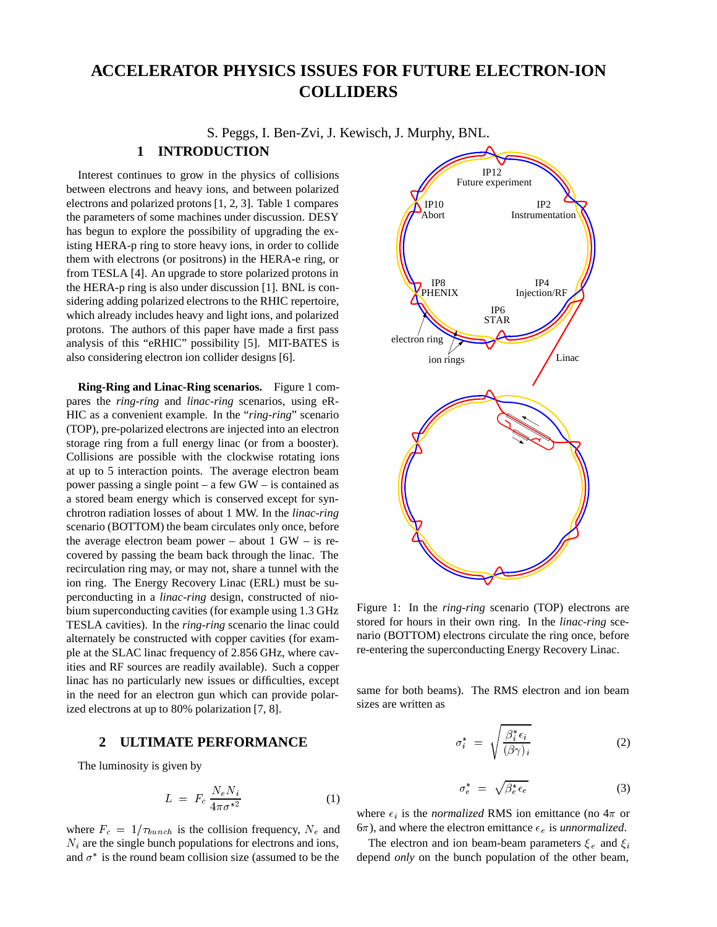# **ACCELERATOR PHYSICS ISSUES FOR FUTURE ELECTRON-ION COLLIDERS**

S. Peggs, I. Ben-Zvi, J. Kewisch, J. Murphy, BNL.

# **1 INTRODUCTION**

Interest continues to grow in the physics of collisions between electrons and heavy ions, and between polarized electrons and polarized protons [1, 2, 3]. Table 1 compares the parameters of some machines under discussion. DESY has begun to explore the possibility of upgrading the existing HERA-p ring to store heavy ions, in order to collide them with electrons (or positrons) in the HERA-e ring, or from TESLA [4]. An upgrade to store polarized protons in the HERA-p ring is also under discussion [1]. BNL is considering adding polarized electrons to the RHIC repertoire, which already includes heavy and light ions, and polarized protons. The authors of this paper have made a first pass analysis of this "eRHIC" possibility [5]. MIT-BATES is also considering electron ion collider designs [6].

**Ring-Ring and Linac-Ring scenarios.** Figure 1 compares the *ring-ring* and *linac-ring* scenarios, using eR-HIC as a convenient example. In the "*ring-ring*" scenario (TOP), pre-polarized electrons are injected into an electron storage ring from a full energy linac (or from a booster). Collisions are possible with the clockwise rotating ions at up to 5 interaction points. The average electron beam power passing a single point – a few GW – is contained as a stored beam energy which is conserved except for synchrotron radiation losses of about 1 MW. In the *linac-ring* scenario (BOTTOM) the beam circulates only once, before the average electron beam power – about  $1 \text{ GW}$  – is recovered by passing the beam back through the linac. The recirculation ring may, or may not, share a tunnel with the ion ring. The Energy Recovery Linac (ERL) must be superconducting in a *linac-ring* design, constructed of niobium superconducting cavities (for example using 1.3 GHz TESLA cavities). In the *ring-ring* scenario the linac could alternately be constructed with copper cavities (for example at the SLAC linac frequency of 2.856 GHz, where cavities and RF sources are readily available). Such a copper linac has no particularly new issues or difficulties, except in the need for an electron gun which can provide polarized electrons at up to 80% polarization [7, 8].

### **2 ULTIMATE PERFORMANCE**

The luminosity is given by

$$
L = F_c \frac{N_e N_i}{4\pi \sigma^{*2}} \tag{1}
$$

where  $F_c = 1/\tau_{bunch}$  is the collision frequency, N<sub>e</sub> and  $N_i$  are the single bunch populations for electrons and ions, and  $\sigma^*$  is the round beam collision size (assumed to be the



Figure 1: In the *ring-ring* scenario (TOP) electrons are stored for hours in their own ring. In the *linac-ring* scenario (BOTTOM) electrons circulate the ring once, before re-entering the superconducting Energy Recovery Linac.

same for both beams). The RMS electron and ion beam sizes are written as

$$
\sigma_i^* = \sqrt{\frac{\beta_i^* \epsilon_i}{(\beta \gamma)_i}}
$$
 (2)

$$
\sigma_e^* = \sqrt{\beta_e^* \epsilon_e} \tag{3}
$$

where  $\epsilon_i$  is the *normalized* RMS ion emittance (no  $4\pi$  or 6 $\pi$ ), and where the electron emittance  $\epsilon_e$  is *unnormalized*.

The electron and ion beam-beam parameters  $\xi_e$  and  $\xi_i$ depend *only* on the bunch population of the other beam,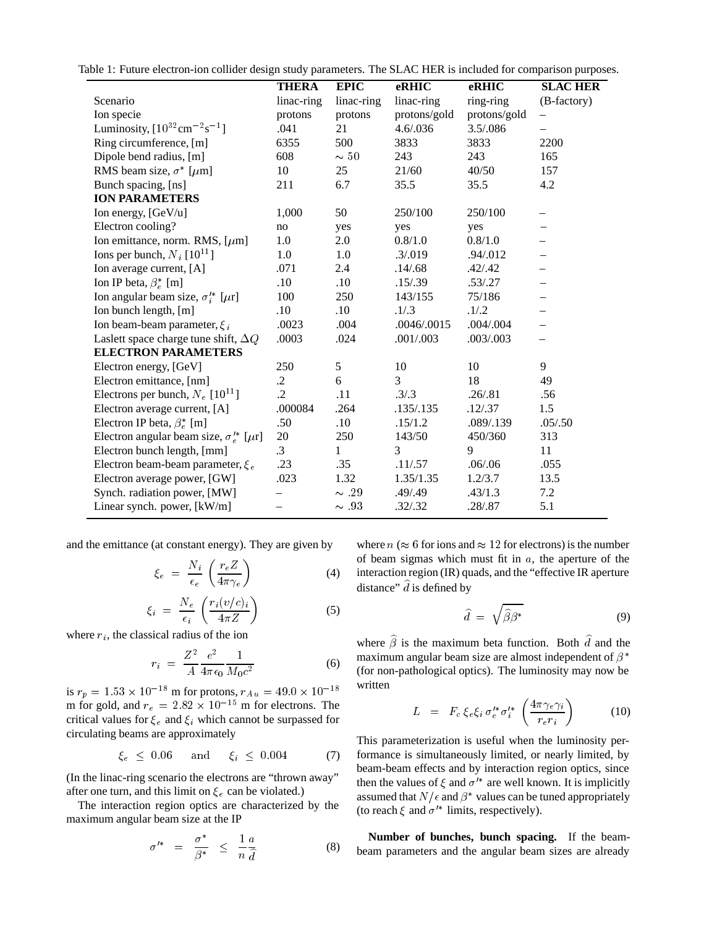Table 1: Future electron-ion collider design study parameters. The SLAC HER is included for comparison purposes.

|                                                             | <b>THERA</b>             | <b>EPIC</b> | eRHIC        | eRHIC        | <b>SLAC HER</b>          |
|-------------------------------------------------------------|--------------------------|-------------|--------------|--------------|--------------------------|
| Scenario                                                    | linac-ring               | linac-ring  | linac-ring   | ring-ring    | (B-factory)              |
| Ion specie                                                  | protons                  | protons     | protons/gold | protons/gold | $\qquad \qquad -$        |
| Luminosity, $[10^{32} \text{cm}^{-2} \text{s}^{-1}]$        | .041                     | 21          | 4.6 / .036   | 3.5/0.086    |                          |
| Ring circumference, [m]                                     | 6355                     | 500         | 3833         | 3833         | 2200                     |
| Dipole bend radius, [m]                                     | 608                      | $\sim 50$   | 243          | 243          | 165                      |
| RMS beam size, $\sigma^*$ [ $\mu$ m]                        | 10                       | 25          | 21/60        | 40/50        | 157                      |
| Bunch spacing, [ns]                                         | 211                      | 6.7         | 35.5         | 35.5         | 4.2                      |
| <b>ION PARAMETERS</b>                                       |                          |             |              |              |                          |
| Ion energy, $[GeV/u]$                                       | 1,000                    | 50          | 250/100      | 250/100      | $\overline{\phantom{0}}$ |
| Electron cooling?                                           | no                       | yes         | yes          | yes          |                          |
| Ion emittance, norm. RMS, $[\mu m]$                         | 1.0                      | 2.0         | 0.8/1.0      | 0.8/1.0      |                          |
| Ions per bunch, $N_i$ [10 <sup>11</sup> ]                   | 1.0                      | 1.0         | .3/0.019     | .94/.012     |                          |
| Ion average current, [A]                                    | .071                     | 2.4         | .14/.68      | .42/.42      | —                        |
| Ion IP beta, $\beta_e^*$ [m]                                | .10                      | .10         | .15/.39      | .53/.27      |                          |
| Ion angular beam size, $\sigma_i^{\prime*}$ [ $\mu$ r]      | 100                      | 250         | 143/155      | 75/186       |                          |
| Ion bunch length, [m]                                       | .10                      | .10         | .1/.3        | .1/.2        |                          |
| Ion beam-beam parameter, $\xi_i$                            | .0023                    | .004        | .0046/.0015  | .004/.004    |                          |
| Laslett space charge tune shift, $\Delta Q$                 | .0003                    | .024        | .001/.003    | .003/.003    |                          |
| <b>ELECTRON PARAMETERS</b>                                  |                          |             |              |              |                          |
| Electron energy, [GeV]                                      | 250                      | 5           | 10           | 10           | 9                        |
| Electron emittance, [nm]                                    | $\cdot$ .2               | 6           | 3            | 18           | 49                       |
| Electrons per bunch, $N_e$ [10 <sup>11</sup> ]              | $\cdot$                  | .11         | .3/.3        | .26/0.81     | .56                      |
| Electron average current, [A]                               | .000084                  | .264        | .135/.135    | .12/.37      | 1.5                      |
| Electron IP beta, $\beta_e^*$ [m]                           | .50                      | .10         | .15/1.2      | .089/.139    | .05/.50                  |
| Electron angular beam size, $\sigma_e^{\prime*}$ [ $\mu$ r] | 20                       | 250         | 143/50       | 450/360      | 313                      |
| Electron bunch length, [mm]                                 | $\cdot$ 3                | 1           | 3            | 9            | 11                       |
| Electron beam-beam parameter, $\xi_e$                       | .23                      | .35         | .11/.57      | .06/0.06     | .055                     |
| Electron average power, [GW]                                | .023                     | 1.32        | 1.35/1.35    | 1.2/3.7      | 13.5                     |
| Synch. radiation power, [MW]                                | $\overline{\phantom{0}}$ | $\sim .29$  | .49/.49      | .43/1.3      | 7.2                      |
| Linear synch. power, [kW/m]                                 |                          | $\sim~93$   | .32/.32      | .28/.87      | 5.1                      |

and the emittance (at constant energy). They are given by

$$
\xi_e = \frac{N_i}{\epsilon_e} \left( \frac{r_e Z}{4\pi \gamma_e} \right) \tag{4}
$$

$$
\xi_i = \frac{N_e}{\epsilon_i} \left( \frac{r_i (v/c)_i}{4\pi Z} \right) \tag{5}
$$

where  $r_i$ , the classical radius of the ion

$$
r_i = \frac{Z^2}{A} \frac{e^2}{4\pi\epsilon_0} \frac{1}{M_0 c^2}
$$
 (6)

is  $r_p = 1.53 \times 10^{-18}$  m for protons,  $r_{Au} = 49.0 \times 10^{-18}$  with m for gold, and  $r_e = 2.82 \times 10^{-15}$  m for electrons. The critical values for  $\xi_e$  and  $\xi_i$  which cannot be surpassed for circulating beams are approximately

$$
\xi_e \leq 0.06 \quad \text{and} \quad \xi_i \leq 0.004 \tag{7}
$$

(In the linac-ring scenario the electrons are "thrown away" after one turn, and this limit on  $\xi_e$  can be violated.)

The interaction region optics are characterized by the maximum angular beam size at the IP

$$
\sigma^{\prime *} = \frac{\sigma^*}{\beta^*} \leq \frac{1}{n} \frac{a}{\hat{d}} \tag{8}
$$

where  $n \approx 6$  for ions and  $\approx 12$  for electrons) is the number of beam sigmas which must fit in  $a$ , the aperture of the interaction region (IR) quads, and the "effective IR aperture distance"  $\hat{d}$  is defined by

$$
\widehat{d} = \sqrt{\widehat{\beta}\beta^*} \tag{9}
$$

where  $\hat{\beta}$  is the maximum beta function. Both  $\hat{d}$  and the maximum angular beam size are almost independent of  $\beta^*$ (for non-pathological optics). The luminosity may now be written

$$
L = F_c \xi_e \xi_i \sigma_e^{\prime *} \sigma_i^{\prime *} \left( \frac{4 \pi \gamma_e \gamma_i}{r_e r_i} \right) \tag{10}
$$

This parameterization is useful when the luminosity performance is simultaneously limited, or nearly limited, by beam-beam effects and by interaction region optics, since then the values of  $\xi$  and  $\sigma'^*$  are well known. It is implicitly assumed that  $N/\epsilon$  and  $\beta^*$  values can be tuned appropriately (to reach  $\xi$  and  $\sigma^{\prime*}$  limits, respectively).

**Number of bunches, bunch spacing.** If the beambeam parameters and the angular beam sizes are already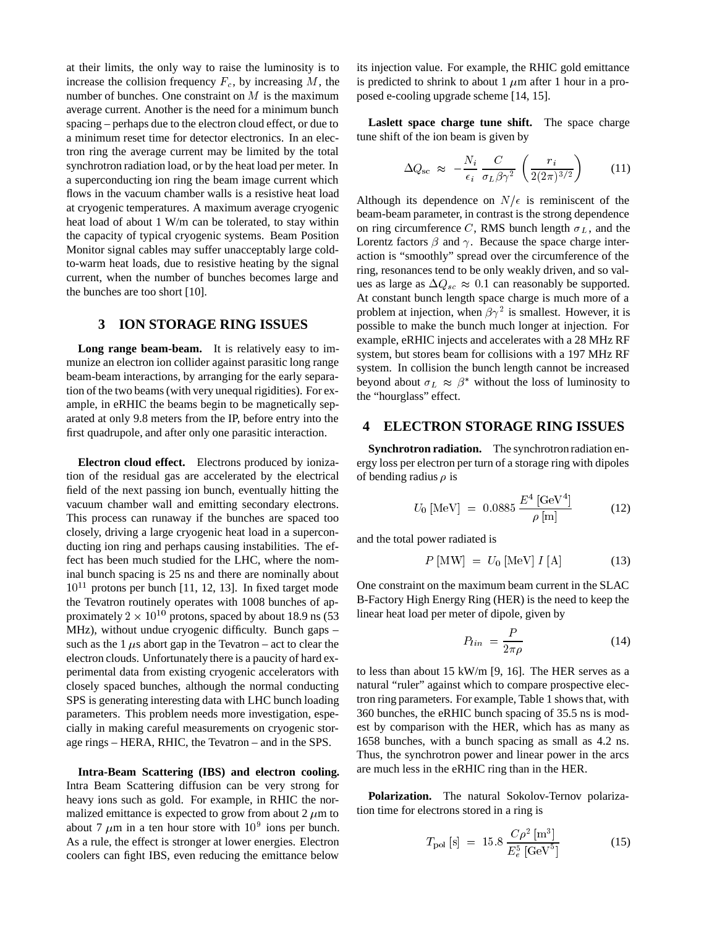at their limits, the only way to raise the luminosity is to increase the collision frequency  $F_c$ , by increasing M, the number of bunches. One constraint on  $M$  is the maximum average current. Another is the need for a minimum bunch spacing – perhaps due to the electron cloud effect, or due to a minimum reset time for detector electronics. In an electron ring the average current may be limited by the total synchrotron radiation load, or by the heat load per meter. In a superconducting ion ring the beam image current which flows in the vacuum chamber walls is a resistive heat load at cryogenic temperatures. A maximum average cryogenic heat load of about 1 W/m can be tolerated, to stay within the capacity of typical cryogenic systems. Beam Position Monitor signal cables may suffer unacceptably large coldto-warm heat loads, due to resistive heating by the signal current, when the number of bunches becomes large and the bunches are too short [10].

#### **3 ION STORAGE RING ISSUES**

**Long range beam-beam.** It is relatively easy to immunize an electron ion collider against parasitic long range beam-beam interactions, by arranging for the early separation of the two beams (with very unequal rigidities). For example, in eRHIC the beams begin to be magnetically separated at only 9.8 meters from the IP, before entry into the first quadrupole, and after only one parasitic interaction.

**Electron cloud effect.** Electrons produced by ionization of the residual gas are accelerated by the electrical field of the next passing ion bunch, eventually hitting the vacuum chamber wall and emitting secondary electrons. This process can runaway if the bunches are spaced too closely, driving a large cryogenic heat load in a superconducting ion ring and perhaps causing instabilities. The effect has been much studied for the LHC, where the nominal bunch spacing is 25 ns and there are nominally about  $10^{11}$  protons per bunch [11, 12, 13]. In fixed target mode the Tevatron routinely operates with 1008 bunches of approximately  $2 \times 10^{10}$  protons, spaced by about 18.9 ns (53) MHz), without undue cryogenic difficulty. Bunch gaps – such as the 1  $\mu$ s abort gap in the Tevatron – act to clear the electron clouds. Unfortunately there is a paucity of hard experimental data from existing cryogenic accelerators with closely spaced bunches, although the normal conducting SPS is generating interesting data with LHC bunch loading parameters. This problem needs more investigation, especially in making careful measurements on cryogenic storage rings – HERA, RHIC, the Tevatron – and in the SPS.

**Intra-Beam Scattering (IBS) and electron cooling.** Intra Beam Scattering diffusion can be very strong for heavy ions such as gold. For example, in RHIC the normalized emittance is expected to grow from about 2  $\mu$ m to about 7  $\mu$ m in a ten hour store with 10<sup>9</sup> ions per bunch. As a rule, the effect is stronger at lower energies. Electron coolers can fight IBS, even reducing the emittance below

its injection value. For example, the RHIC gold emittance is predicted to shrink to about 1  $\mu$ m after 1 hour in a proposed e-cooling upgrade scheme [14, 15].

**Laslett space charge tune shift.** The space charge tune shift of the ion beam is given by

$$
\Delta Q_{\rm sc} \approx -\frac{N_i}{\epsilon_i} \frac{C}{\sigma_L \beta \gamma^2} \left( \frac{r_i}{2(2\pi)^{3/2}} \right) \tag{11}
$$

Although its dependence on  $N/\epsilon$  is reminiscent of the beam-beam parameter, in contrast is the strong dependence on ring circumference C, RMS bunch length  $\sigma_L$ , and the Lorentz factors  $\beta$  and  $\gamma$ . Because the space charge interaction is "smoothly" spread over the circumference of the ring, resonances tend to be only weakly driven, and so values as large as  $\Delta Q_{sc} \approx 0.1$  can reasonably be supported. At constant bunch length space charge is much more of a problem at injection, when  $\beta \gamma^2$  is smallest. However, it is possible to make the bunch much longer at injection. For example, eRHIC injects and accelerates with a 28 MHz RF system, but stores beam for collisions with a 197 MHz RF system. In collision the bunch length cannot be increased beyond about  $\sigma_L \approx \beta^*$  without the loss of luminosity to the "hourglass" effect.

### **4 ELECTRON STORAGE RING ISSUES**

**Synchrotron radiation.** The synchrotron radiation energy loss per electron per turn of a storage ring with dipoles of bending radius  $\rho$  is

$$
U_0 \text{ [MeV]} = 0.0885 \frac{E^4 \text{ [GeV}^4]}{\rho \text{ [m]}}
$$
 (12)

and the total power radiated is

$$
P \text{ [MW]} = U_0 \text{ [MeV]} I \text{ [A]} \tag{13}
$$

One constraint on the maximum beam current in the SLAC B-Factory High Energy Ring (HER) is the need to keep the linear heat load per meter of dipole, given by

$$
P_{lin} = \frac{P}{2\pi\rho} \tag{14}
$$

to less than about 15 kW/m [9, 16]. The HER serves as a natural "ruler" against which to compare prospective electron ring parameters. For example, Table 1 shows that, with 360 bunches, the eRHIC bunch spacing of 35.5 ns is modest by comparison with the HER, which has as many as 1658 bunches, with a bunch spacing as small as 4.2 ns. Thus, the synchrotron power and linear power in the arcs are much less in the eRHIC ring than in the HER.

**Polarization.** The natural Sokolov-Ternov polarization time for electrons stored in a ring is

$$
T_{\text{pol}}\left[\text{s}\right] \ = \ 15.8 \ \frac{C\rho^2\left[\text{m}^3\right]}{E_e^5\left[\text{GeV}^5\right]} \tag{15}
$$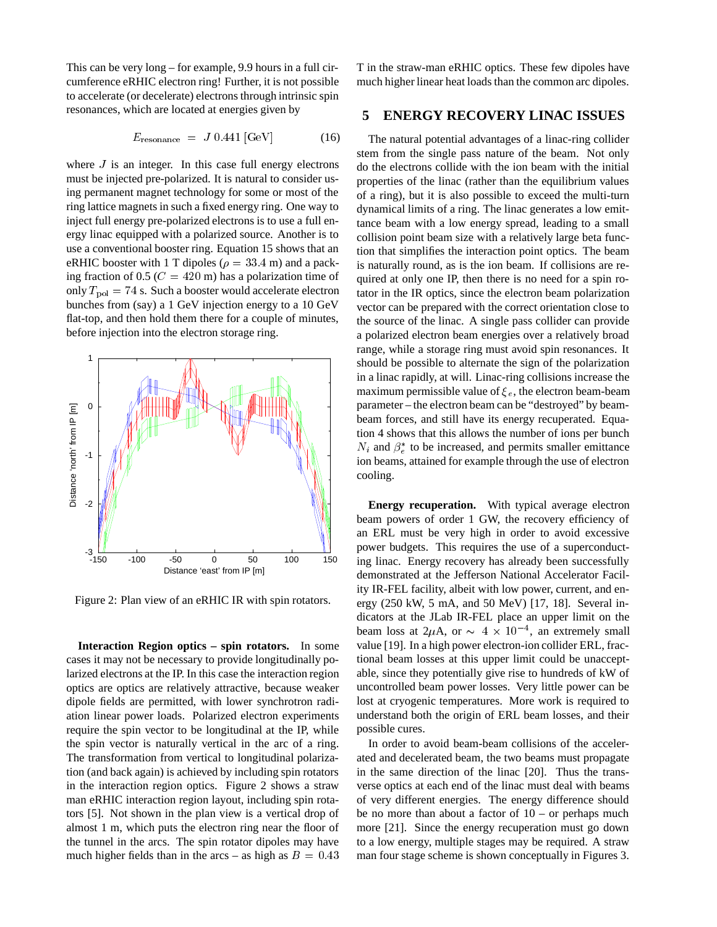This can be very long – for example, 9.9 hours in a full circumference eRHIC electron ring! Further, it is not possible to accelerate (or decelerate) electrons through intrinsic spin resonances, which are located at energies given by

$$
E_{\text{resonance}} = J \ 0.441 \text{ [GeV]} \tag{16}
$$

where  $J$  is an integer. In this case full energy electrons must be injected pre-polarized. It is natural to consider using permanent magnet technology for some or most of the ring lattice magnets in such a fixed energy ring. One way to inject full energy pre-polarized electrons is to use a full energy linac equipped with a polarized source. Another is to use a conventional booster ring. Equation 15 shows that an eRHIC booster with 1 T dipoles ( $\rho = 33.4$  m) and a packing fraction of 0.5 ( $C = 420$  m) has a polarization time of only  $T_{pol} = 74$  s. Such a booster would accelerate electron bunches from (say) a 1 GeV injection energy to a 10 GeV flat-top, and then hold them there for a couple of minutes, before injection into the electron storage ring.



Figure 2: Plan view of an eRHIC IR with spin rotators.

**Interaction Region optics – spin rotators.** In some cases it may not be necessary to provide longitudinally polarized electrons at the IP. In this case the interaction region optics are optics are relatively attractive, because weaker dipole fields are permitted, with lower synchrotron radiation linear power loads. Polarized electron experiments require the spin vector to be longitudinal at the IP, while the spin vector is naturally vertical in the arc of a ring. The transformation from vertical to longitudinal polarization (and back again) is achieved by including spin rotators in the interaction region optics. Figure 2 shows a straw man eRHIC interaction region layout, including spin rotators [5]. Not shown in the plan view is a vertical drop of almost 1 m, which puts the electron ring near the floor of the tunnel in the arcs. The spin rotator dipoles may have much higher fields than in the arcs – as high as  $B = 0.43$  T in the straw-man eRHIC optics. These few dipoles have much higher linear heat loads than the common arc dipoles.

# **5 ENERGY RECOVERY LINAC ISSUES**

The natural potential advantages of a linac-ring collider stem from the single pass nature of the beam. Not only do the electrons collide with the ion beam with the initial properties of the linac (rather than the equilibrium values of a ring), but it is also possible to exceed the multi-turn dynamical limits of a ring. The linac generates a low emittance beam with a low energy spread, leading to a small collision point beam size with a relatively large beta function that simplifies the interaction point optics. The beam is naturally round, as is the ion beam. If collisions are required at only one IP, then there is no need for a spin rotator in the IR optics, since the electron beam polarization vector can be prepared with the correct orientation close to the source of the linac. A single pass collider can provide a polarized electron beam energies over a relatively broad range, while a storage ring must avoid spin resonances. It should be possible to alternate the sign of the polarization in a linac rapidly, at will. Linac-ring collisions increase the maximum permissible value of  $\xi_e$ , the electron beam-beam parameter – the electron beam can be "destroyed" by beambeam forces, and still have its energy recuperated. Equation 4 shows that this allows the number of ions per bunch  $N_i$  and  $\beta_e^*$  to be increased, and permits smaller emittance ion beams, attained for example through the use of electron cooling.

**Energy recuperation.** With typical average electron beam powers of order 1 GW, the recovery efficiency of an ERL must be very high in order to avoid excessive power budgets. This requires the use of a superconducting linac. Energy recovery has already been successfully demonstrated at the Jefferson National Accelerator Facility IR-FEL facility, albeit with low power, current, and energy (250 kW, 5 mA, and 50 MeV) [17, 18]. Several indicators at the JLab IR-FEL place an upper limit on the beam loss at 2 $\mu$ A, or  $\sim 4 \times 10^{-4}$ , an extremely small value [19]. In a high power electron-ion collider ERL, fractional beam losses at this upper limit could be unacceptable, since they potentially give rise to hundreds of kW of uncontrolled beam power losses. Very little power can be lost at cryogenic temperatures. More work is required to understand both the origin of ERL beam losses, and their possible cures.

In order to avoid beam-beam collisions of the accelerated and decelerated beam, the two beams must propagate in the same direction of the linac [20]. Thus the transverse optics at each end of the linac must deal with beams of very different energies. The energy difference should be no more than about a factor of  $10 -$  or perhaps much more [21]. Since the energy recuperation must go down to a low energy, multiple stages may be required. A straw man four stage scheme is shown conceptually in Figures 3.